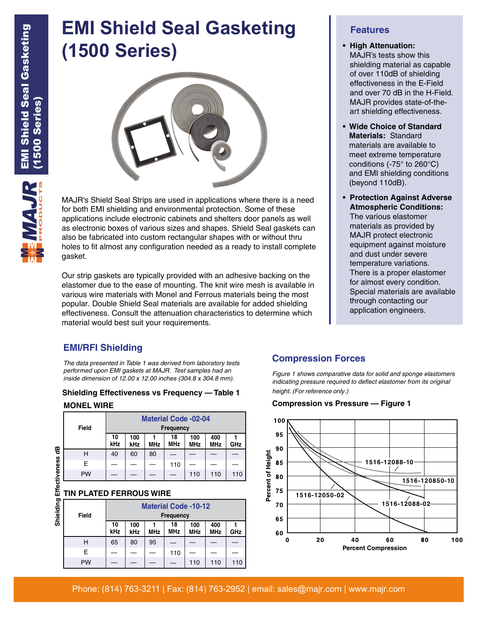# **EMI Shield Seal Gasketing (1500 Series)**



MAJR's Shield Seal Strips are used in applications where there is a need for both EMI shielding and environmental protection. Some of these applications include electronic cabinets and shelters door panels as well as electronic boxes of various sizes and shapes. Shield Seal gaskets can also be fabricated into custom rectangular shapes with or without thru holes to fit almost any configuration needed as a ready to install complete gasket.

Our strip gaskets are typically provided with an adhesive backing on the elastomer due to the ease of mounting. The knit wire mesh is available in various wire materials with Monel and Ferrous materials being the most popular. Double Shield Seal materials are available for added shielding effectiveness. Consult the attenuation characteristics to determine which material would best suit your requirements.

# **EMI/RFI Shielding**

*The data presented in Table 1 was derived from laboratory tests performed upon EMI gaskets at MAJR. Test samples had an inside dimension of 12.00 x 12.00 inches (304.8 x 304.8 mm).*

#### **Shielding Effectiveness vs Frequency — Table 1 MONEL WIRE**

|               | Field     | <b>Material Code -02-04</b><br>Frequency        |            |            |                  |                   |                   |     |  |  |
|---------------|-----------|-------------------------------------------------|------------|------------|------------------|-------------------|-------------------|-----|--|--|
|               |           | 10<br>kHz                                       | 100<br>kHz | <b>MHz</b> | 18<br><b>MHz</b> | 100<br><b>MHz</b> | 400<br><b>MHz</b> | GHz |  |  |
| 뜽             | н         | 40                                              | 60         | 80         |                  |                   |                   |     |  |  |
|               | F         |                                                 |            |            | 110              |                   |                   |     |  |  |
|               | <b>PW</b> |                                                 |            |            |                  | 110               | 110               | 110 |  |  |
| Effectiveness |           | <b>TIN PLATED FERROUS WIRE</b>                  |            |            |                  |                   |                   |     |  |  |
| Shielding     | Field     | <b>Material Code -10-12</b><br><b>Frequency</b> |            |            |                  |                   |                   |     |  |  |
|               |           | 10                                              | 100        |            | 18               | 100               | 400               |     |  |  |

#### **TIN PLATED FERROUS WIRE**

ممنانه المنامة

| Dilleigin | <b>Field</b> | <b>Material Code -10-12</b><br>Frequency |            |            |                  |                   |                   |     |  |
|-----------|--------------|------------------------------------------|------------|------------|------------------|-------------------|-------------------|-----|--|
|           |              | 10<br>kHz                                | 100<br>kHz | <b>MHz</b> | 18<br><b>MHz</b> | 100<br><b>MHz</b> | 400<br><b>MHz</b> | GHz |  |
|           | н            | 65                                       | 80         | 95         |                  |                   |                   |     |  |
|           | F.           |                                          |            |            | 110              |                   |                   |     |  |
|           | <b>PW</b>    |                                          |            |            |                  | 110               | 110               | 110 |  |

### **Features**

- **• High Attenuation:** MAJR's tests show this shielding material as capable of over 110dB of shielding effectiveness in the E-Field and over 70 dB in the H-Field. MAJR provides state-of-theart shielding effectiveness.
- **• Wide Choice of Standard Materials:** Standard materials are available to meet extreme temperature conditions (-75° to 260°C) and EMI shielding conditions (beyond 110dB).
- **• Protection Against Adverse Atmospheric Conditions:**

The various elastomer materials as provided by MAJR protect electronic equipment against moisture and dust under severe temperature variations. There is a proper elastomer for almost every condition. Special materials are available through contacting our application engineers.

#### **Compression Forces**

*Figure 1 shows comparative data for solid and sponge elastomers indicating pressure required to deflect elastomer from its original height. (For reference only.)*

#### **Compression vs Pressure — Figure 1**